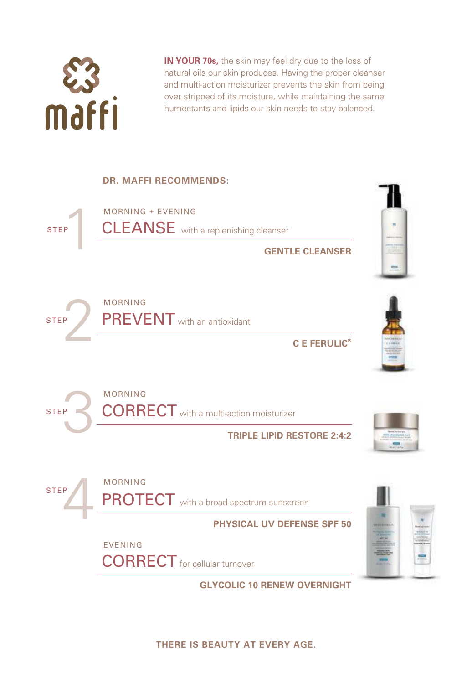

**IN YOUR 70s,** the skin may feel dry due to the loss of natural oils our skin produces. Having the proper cleanser and multi-action moisturizer prevents the skin from being over stripped of its moisture, while maintaining the same humectants and lipids our skin needs to stay balanced.

## **DR. MAFFI RECOMMENDS:**



**GLYCOLIC 10 RENEW OVERNIGHT**